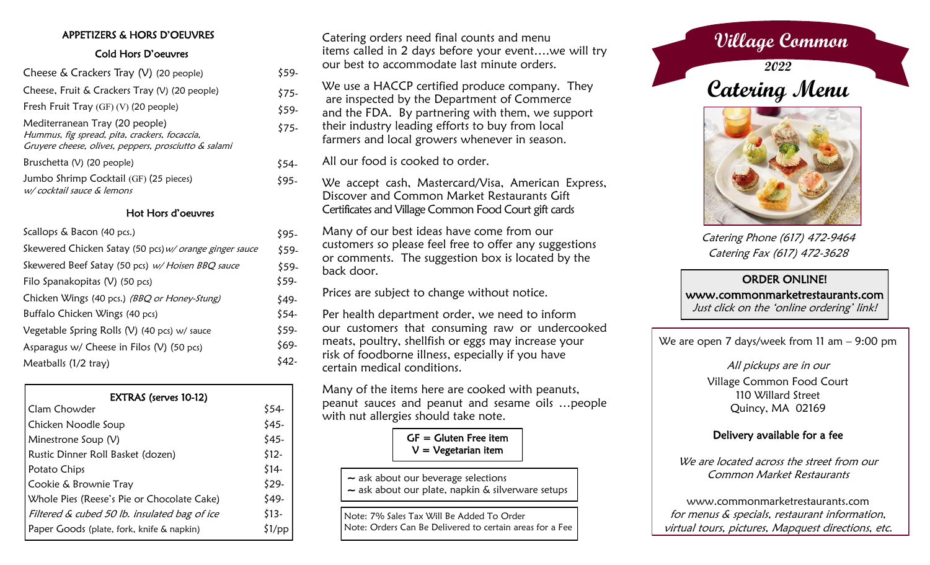## APPETIZERS & HORS D'OEUVRES

### Cold Hors D'oeuvres

| Cheese $\&$ Crackers Tray (V) (20 people)                                                                                               |
|-----------------------------------------------------------------------------------------------------------------------------------------|
| Cheese, Fruit & Crackers Tray (V) (20 people)                                                                                           |
| Fresh Fruit Tray $(GF)(V)$ (20 people)                                                                                                  |
| Mediterranean Tray (20 people)<br>Hummus, fig spread, pita, crackers, focaccia,<br>Gruyere cheese, olives, peppers, prosciutto & salami |
| Bruschetta (V) (20 people)                                                                                                              |
| Jumbo Shrimp Cocktail (GF) (25 pieces)<br>w/cocktail sauce & lemons                                                                     |

### Hot Hors d'oeuvres

| Scallops & Bacon (40 pcs.)                             | \$95-  |
|--------------------------------------------------------|--------|
| Skewered Chicken Satay (50 pcs) w/ orange ginger sauce | \$59-  |
| Skewered Beef Satay (50 pcs) w/ Hoisen BBQ sauce       | \$59-  |
| Filo Spanakopitas (V) (50 pcs)                         | \$59-  |
| Chicken Wings (40 pcs.) (BBQ or Honey-Stung)           | $549-$ |
| Buffalo Chicken Wings (40 pcs)                         | $$54-$ |
| Vegetable Spring Rolls (V) (40 pcs) w/ sauce           | \$59-  |
| Asparagus $w/$ Cheese in Filos (V) (50 pcs)            | \$69-  |
| Meatballs (1/2 tray)                                   | \$42-  |

| EXTRAS (serves 10-12)                        |        |
|----------------------------------------------|--------|
| Clam Chowder                                 | \$54-  |
| Chicken Noodle Soup                          | $$45-$ |
| Minestrone Soup (V)                          | $$45-$ |
| Rustic Dinner Roll Basket (dozen)            | $$12-$ |
| Potato Chips                                 | \$14-  |
| Cookie & Brownie Tray                        | $$29-$ |
| Whole Pies (Reese's Pie or Chocolate Cake)   | \$49-  |
| Filtered & cubed 50 lb. insulated bag of ice | $$13-$ |
| Paper Goods (plate, fork, knife & napkin)    |        |

Catering orders need final counts and menu items called in 2 days before your event….we will try our best to accommodate last minute orders.

- We use a HACCP certified produce company. They
- are inspected by the Department of Commerce \$75-
- and the FDA. By partnering with them, we support \$59-
- their industry leading efforts to buy from local farmers and local growers whenever in season. \$75-
- All our food is cooked to order. \$54-

\$95-

\$59-

- We accept cash, Mastercard/Visa, American Express, Discover and Common Market Restaurants Gift Certificates and Village Common Food Court gift cards
- Many of our best ideas have come from our customers so please feel free to offer any suggestions or comments. The suggestion box is located by the back door.

Prices are subject to change without notice.

Per health department order, we need to inform our customers that consuming raw or undercooked meats, poultry, shellfish or eggs may increase your risk of foodborne illness, especially if you have certain medical conditions.

Many of the items here are cooked with peanuts, peanut sauces and peanut and sesame oils …people with nut allergies should take note.

> $GF = Gluten Free item$  $V = V$ egetarian item

- ~ ask about our beverage selections
- $\sim$  ask about our plate, napkin & silverware setups

Note: 7% Sales Tax Will Be Added To Order Note: Orders Can Be Delivered to certain areas for a Fee

# **Village Common**

**2022 Catering Menu**



Catering Phone (617) 472-9464 Catering Fax (617) 472-3628

## ORDER ONLINE!

 www.commonmarketrestaurants.com Just click on the 'online ordering' link!

We are open 7 days/week from 11 am - 9:00 pm

All pickups are in our Village Common Food Court 110 Willard Street Quincy, MA 02169

## Delivery available for a fee

We are located across the street from our Common Market Restaurants

www.commonmarketrestaurants.com for menus & specials, restaurant information, virtual tours, pictures, Mapquest directions, etc.